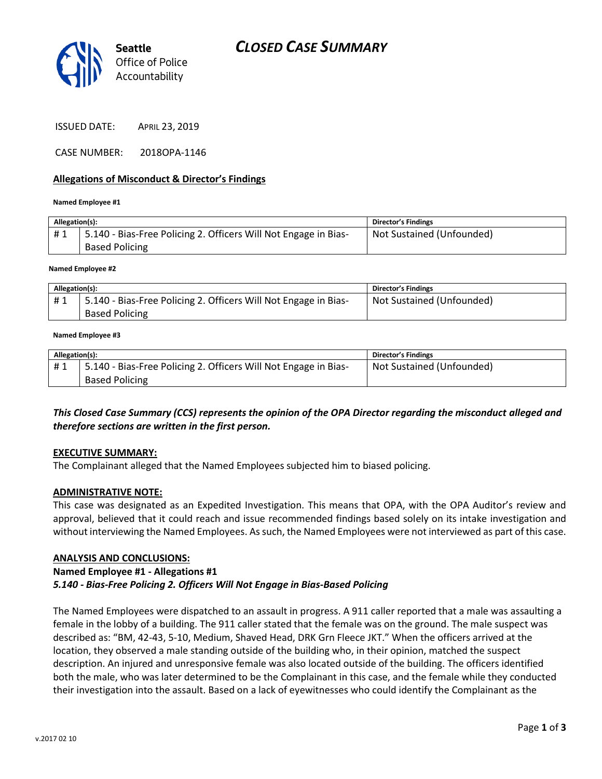

ISSUED DATE: APRIL 23, 2019

CASE NUMBER: 2018OPA-1146

## **Allegations of Misconduct & Director's Findings**

#### **Named Employee #1**

| Allegation(s): |                                                                 | <b>Director's Findings</b> |
|----------------|-----------------------------------------------------------------|----------------------------|
| #1             | 5.140 - Bias-Free Policing 2. Officers Will Not Engage in Bias- | Not Sustained (Unfounded)  |
|                | <b>Based Policing</b>                                           |                            |
|                |                                                                 |                            |

#### **Named Employee #2**

| Allegation(s): |                                                                 | <b>Director's Findings</b> |
|----------------|-----------------------------------------------------------------|----------------------------|
| #1             | 5.140 - Bias-Free Policing 2. Officers Will Not Engage in Bias- | Not Sustained (Unfounded)  |
|                | <b>Based Policing</b>                                           |                            |

#### **Named Employee #3**

| Allegation(s): |                                                                 | <b>Director's Findings</b> |
|----------------|-----------------------------------------------------------------|----------------------------|
| #1             | 5.140 - Bias-Free Policing 2. Officers Will Not Engage in Bias- | Not Sustained (Unfounded)  |
|                | <b>Based Policing</b>                                           |                            |

*This Closed Case Summary (CCS) represents the opinion of the OPA Director regarding the misconduct alleged and therefore sections are written in the first person.* 

### **EXECUTIVE SUMMARY:**

The Complainant alleged that the Named Employees subjected him to biased policing.

### **ADMINISTRATIVE NOTE:**

This case was designated as an Expedited Investigation. This means that OPA, with the OPA Auditor's review and approval, believed that it could reach and issue recommended findings based solely on its intake investigation and without interviewing the Named Employees. As such, the Named Employees were not interviewed as part of this case.

### **ANALYSIS AND CONCLUSIONS:**

## **Named Employee #1 - Allegations #1**

## *5.140 - Bias-Free Policing 2. Officers Will Not Engage in Bias-Based Policing*

The Named Employees were dispatched to an assault in progress. A 911 caller reported that a male was assaulting a female in the lobby of a building. The 911 caller stated that the female was on the ground. The male suspect was described as: "BM, 42-43, 5-10, Medium, Shaved Head, DRK Grn Fleece JKT." When the officers arrived at the location, they observed a male standing outside of the building who, in their opinion, matched the suspect description. An injured and unresponsive female was also located outside of the building. The officers identified both the male, who was later determined to be the Complainant in this case, and the female while they conducted their investigation into the assault. Based on a lack of eyewitnesses who could identify the Complainant as the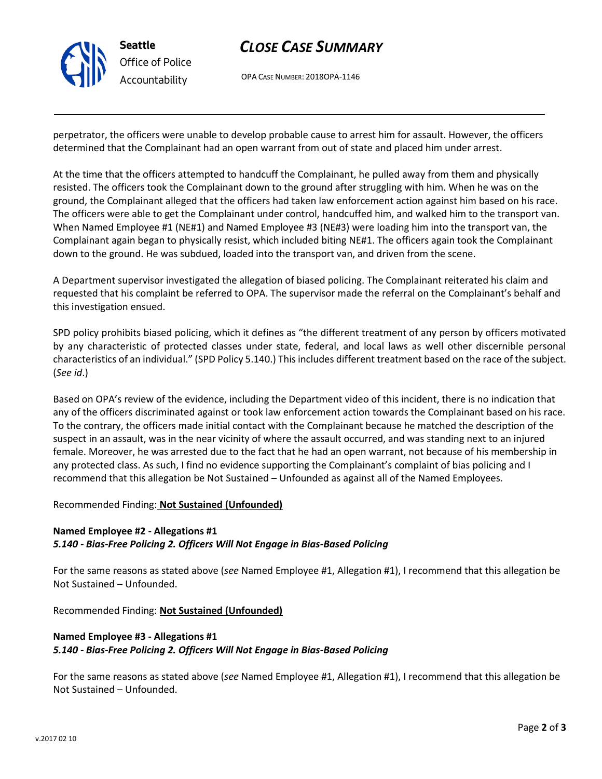

## *CLOSE CASE SUMMARY*

OPA CASE NUMBER: 2018OPA-1146

perpetrator, the officers were unable to develop probable cause to arrest him for assault. However, the officers determined that the Complainant had an open warrant from out of state and placed him under arrest.

At the time that the officers attempted to handcuff the Complainant, he pulled away from them and physically resisted. The officers took the Complainant down to the ground after struggling with him. When he was on the ground, the Complainant alleged that the officers had taken law enforcement action against him based on his race. The officers were able to get the Complainant under control, handcuffed him, and walked him to the transport van. When Named Employee #1 (NE#1) and Named Employee #3 (NE#3) were loading him into the transport van, the Complainant again began to physically resist, which included biting NE#1. The officers again took the Complainant down to the ground. He was subdued, loaded into the transport van, and driven from the scene.

A Department supervisor investigated the allegation of biased policing. The Complainant reiterated his claim and requested that his complaint be referred to OPA. The supervisor made the referral on the Complainant's behalf and this investigation ensued.

SPD policy prohibits biased policing, which it defines as "the different treatment of any person by officers motivated by any characteristic of protected classes under state, federal, and local laws as well other discernible personal characteristics of an individual." (SPD Policy 5.140.) This includes different treatment based on the race of the subject. (*See id*.)

Based on OPA's review of the evidence, including the Department video of this incident, there is no indication that any of the officers discriminated against or took law enforcement action towards the Complainant based on his race. To the contrary, the officers made initial contact with the Complainant because he matched the description of the suspect in an assault, was in the near vicinity of where the assault occurred, and was standing next to an injured female. Moreover, he was arrested due to the fact that he had an open warrant, not because of his membership in any protected class. As such, I find no evidence supporting the Complainant's complaint of bias policing and I recommend that this allegation be Not Sustained – Unfounded as against all of the Named Employees.

## Recommended Finding: **Not Sustained (Unfounded)**

## **Named Employee #2 - Allegations #1** *5.140 - Bias-Free Policing 2. Officers Will Not Engage in Bias-Based Policing*

For the same reasons as stated above (*see* Named Employee #1, Allegation #1), I recommend that this allegation be Not Sustained – Unfounded.

Recommended Finding: **Not Sustained (Unfounded)**

## **Named Employee #3 - Allegations #1** *5.140 - Bias-Free Policing 2. Officers Will Not Engage in Bias-Based Policing*

For the same reasons as stated above (*see* Named Employee #1, Allegation #1), I recommend that this allegation be Not Sustained – Unfounded.